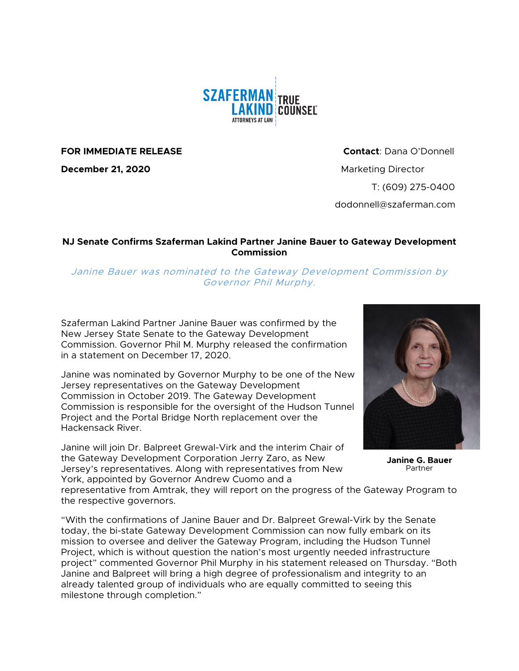

**FOR IMMEDIATE RELEASE Contact**: Dana O'Donnell

**December 21, 2020** Marketing Director

T: (609) 275-0400 dodonnell@szaferman.com

## **NJ Senate Confirms Szaferman Lakind Partner Janine Bauer to Gateway Development Commission**

Janine Bauer was nominated to the Gateway Development Commission by Governor Phil Murphy.

Szaferman Lakind Partner Janine Bauer was confirmed by the New Jersey State Senate to the Gateway Development Commission. Governor Phil M. Murphy released the confirmation in a statement on December 17, 2020.

Janine was nominated by Governor Murphy to be one of the New Jersey representatives on the Gateway Development Commission in October 2019. The Gateway Development Commission is responsible for the oversight of the Hudson Tunnel Project and the Portal Bridge North replacement over the Hackensack River.

Janine will join Dr. Balpreet Grewal-Virk and the interim Chair of the Gateway Development Corporation Jerry Zaro, as New Jersey's representatives. Along with representatives from New York, appointed by Governor Andrew Cuomo and a



**Janine G. Bauer** Partner

representative from Amtrak, they will report on the progress of the Gateway Program to the respective governors.

"With the confirmations of Janine Bauer and Dr. Balpreet Grewal-Virk by the Senate today, the bi-state Gateway Development Commission can now fully embark on its mission to oversee and deliver the Gateway Program, including the Hudson Tunnel Project, which is without question the nation's most urgently needed infrastructure project" commented Governor Phil Murphy in his statement released on Thursday. "Both Janine and Balpreet will bring a high degree of professionalism and integrity to an already talented group of individuals who are equally committed to seeing this milestone through completion."